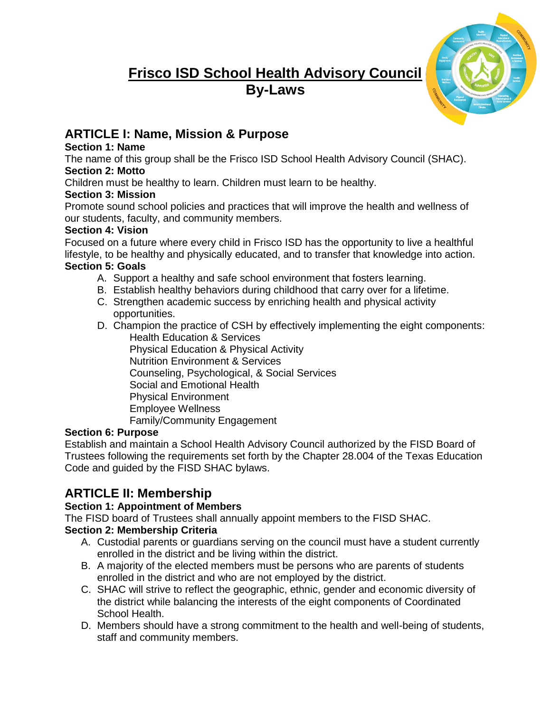# **Frisco ISD School Health Advisory Council By-Laws**



# **ARTICLE I: Name, Mission & Purpose**

### **Section 1: Name**

The name of this group shall be the Frisco ISD School Health Advisory Council (SHAC).

# **Section 2: Motto**

Children must be healthy to learn. Children must learn to be healthy.

### **Section 3: Mission**

Promote sound school policies and practices that will improve the health and wellness of our students, faculty, and community members.

### **Section 4: Vision**

Focused on a future where every child in Frisco ISD has the opportunity to live a healthful lifestyle, to be healthy and physically educated, and to transfer that knowledge into action. **Section 5: Goals** 

- A. Support a healthy and safe school environment that fosters learning.
- B. Establish healthy behaviors during childhood that carry over for a lifetime.
- C. Strengthen academic success by enriching health and physical activity opportunities.
- D. Champion the practice of CSH by effectively implementing the eight components:

Health Education & Services Physical Education & Physical Activity Nutrition Environment & Services Counseling, Psychological, & Social Services Social and Emotional Health Physical Environment Employee Wellness Family/Community Engagement

### **Section 6: Purpose**

Establish and maintain a School Health Advisory Council authorized by the FISD Board of Trustees following the requirements set forth by the Chapter 28.004 of the Texas Education Code and guided by the FISD SHAC bylaws.

# **ARTICLE II: Membership**

## **Section 1: Appointment of Members**

The FISD board of Trustees shall annually appoint members to the FISD SHAC.

## **Section 2: Membership Criteria**

- A. Custodial parents or guardians serving on the council must have a student currently enrolled in the district and be living within the district.
- B. A majority of the elected members must be persons who are parents of students enrolled in the district and who are not employed by the district.
- C. SHAC will strive to reflect the geographic, ethnic, gender and economic diversity of the district while balancing the interests of the eight components of Coordinated School Health.
- D. Members should have a strong commitment to the health and well-being of students, staff and community members.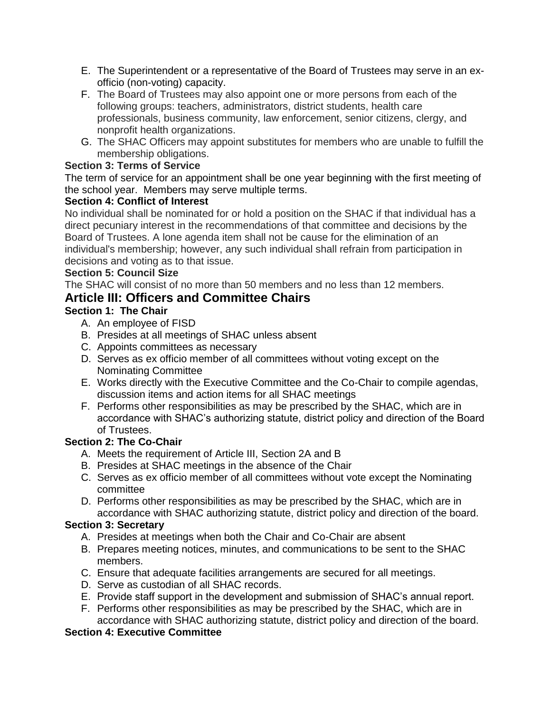- E. The Superintendent or a representative of the Board of Trustees may serve in an exofficio (non-voting) capacity.
- F. The Board of Trustees may also appoint one or more persons from each of the following groups: teachers, administrators, district students, health care professionals, business community, law enforcement, senior citizens, clergy, and nonprofit health organizations.
- G. The SHAC Officers may appoint substitutes for members who are unable to fulfill the membership obligations.

#### **Section 3: Terms of Service**

The term of service for an appointment shall be one year beginning with the first meeting of the school year. Members may serve multiple terms.

#### **Section 4: Conflict of Interest**

No individual shall be nominated for or hold a position on the SHAC if that individual has a direct pecuniary interest in the recommendations of that committee and decisions by the Board of Trustees. A lone agenda item shall not be cause for the elimination of an individual's membership; however, any such individual shall refrain from participation in decisions and voting as to that issue.

#### **Section 5: Council Size**

The SHAC will consist of no more than 50 members and no less than 12 members.

### **Article III: Officers and Committee Chairs**

#### **Section 1: The Chair**

- A. An employee of FISD
- B. Presides at all meetings of SHAC unless absent
- C. Appoints committees as necessary
- D. Serves as ex officio member of all committees without voting except on the Nominating Committee
- E. Works directly with the Executive Committee and the Co-Chair to compile agendas, discussion items and action items for all SHAC meetings
- F. Performs other responsibilities as may be prescribed by the SHAC, which are in accordance with SHAC's authorizing statute, district policy and direction of the Board of Trustees.

#### **Section 2: The Co-Chair**

- A. Meets the requirement of Article III, Section 2A and B
- B. Presides at SHAC meetings in the absence of the Chair
- C. Serves as ex officio member of all committees without vote except the Nominating committee
- D. Performs other responsibilities as may be prescribed by the SHAC, which are in accordance with SHAC authorizing statute, district policy and direction of the board.

#### **Section 3: Secretary**

- A. Presides at meetings when both the Chair and Co-Chair are absent
- B. Prepares meeting notices, minutes, and communications to be sent to the SHAC members.
- C. Ensure that adequate facilities arrangements are secured for all meetings.
- D. Serve as custodian of all SHAC records.
- E. Provide staff support in the development and submission of SHAC's annual report.
- F. Performs other responsibilities as may be prescribed by the SHAC, which are in accordance with SHAC authorizing statute, district policy and direction of the board.

#### **Section 4: Executive Committee**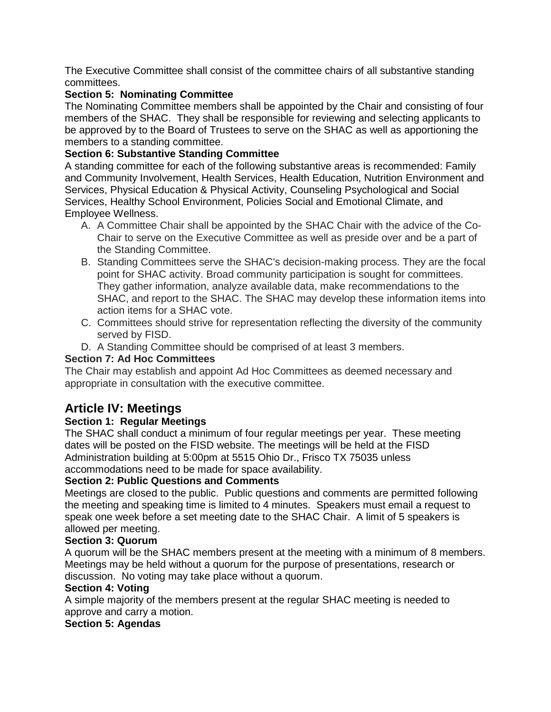The Executive Committee shall consist of the committee chairs of all substantive standing committees.

#### **Section 5: Nominating Committee**

The Nominating Committee members shall be appointed by the Chair and consisting of four members of the SHAC. They shall be responsible for reviewing and selecting applicants to be approved by to the Board of Trustees to serve on the SHAC as well as apportioning the members to a standing committee.

#### **Section 6: Substantive Standing Committee**

A standing committee for each of the following substantive areas is recommended: Family and Community Involvement, Health Services, Health Education, Nutrition Environment and Services, Physical Education & Physical Activity, Counseling Psychological and Social Services, Healthy School Environment, Policies Social and Emotional Climate, and Employee Wellness.

- A. A Committee Chair shall be appointed by the SHAC Chair with the advice of the Co-Chair to serve on the Executive Committee as well as preside over and be a part of the Standing Committee.
- B. Standing Committees serve the SHAC's decision-making process. They are the focal point for SHAC activity. Broad community participation is sought for committees. They gather information, analyze available data, make recommendations to the SHAC, and report to the SHAC. The SHAC may develop these information items into action items for a SHAC vote.
- C. Committees should strive for representation reflecting the diversity of the community served by FISD.
- D. A Standing Committee should be comprised of at least 3 members.

#### **Section 7: Ad Hoc Committees**

The Chair may establish and appoint Ad Hoc Committees as deemed necessary and appropriate in consultation with the executive committee.

# **Article IV: Meetings**

#### **Section 1: Regular Meetings**

The SHAC shall conduct a minimum of four regular meetings per year. These meeting dates will be posted on the FISD website. The meetings will be held at the FISD Administration building at 5:00pm at 5515 Ohio Dr., Frisco TX 75035 unless accommodations need to be made for space availability.

#### **Section 2: Public Questions and Comments**

Meetings are closed to the public. Public questions and comments are permitted following the meeting and speaking time is limited to 4 minutes. Speakers must email a request to speak one week before a set meeting date to the SHAC Chair. A limit of 5 speakers is allowed per meeting.

#### **Section 3: Quorum**

A quorum will be the SHAC members present at the meeting with a minimum of 8 members. Meetings may be held without a quorum for the purpose of presentations, research or discussion. No voting may take place without a quorum.

#### **Section 4: Voting**

A simple majority of the members present at the regular SHAC meeting is needed to approve and carry a motion.

#### **Section 5: Agendas**